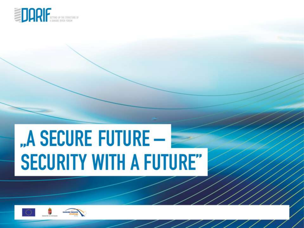

# "A SECURE FUTURE -**SECURITY WITH A FUTURE"**

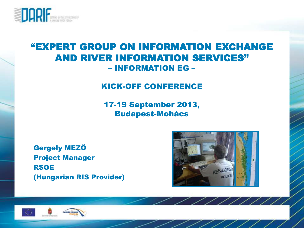

#### "EXPERT GROUP ON INFORMATION EXCHANGE AND RIVER INFORMATION SERVICES" – INFORMATION EG –

#### KICK-OFF CONFERENCE

17-19 September 2013, Budapest-Mohács

Gergely MEZŐ Project Manager RSOE (Hungarian RIS Provider)



 $\frac{1}{2}$ 



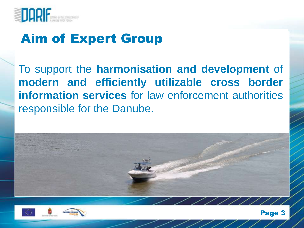

# Aim of Expert Group

To support the **harmonisation and development** of **modern and efficiently utilizable cross border information services** for law enforcement authorities responsible for the Danube.





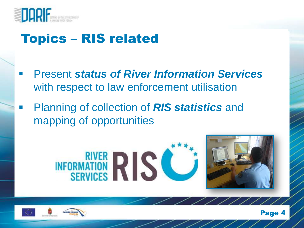

## Topics – RIS related

- Present *status of River Information Services* with respect to law enforcement utilisation
- Planning of collection of *RIS statistics* and mapping of opportunities





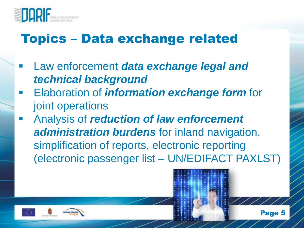

## Topics – Data exchange related

- Law enforcement *data exchange legal and technical background*
- Elaboration of *information exchange form* for joint operations
- Analysis of *reduction of law enforcement administration burdens* for inland navigation, simplification of reports, electronic reporting (electronic passenger list – UN/EDIFACT PAXLST)

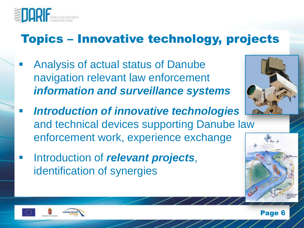

### Topics – Innovative technology, projects

- Analysis of actual status of Danube navigation relevant law enforcement *information and surveillance systems*
- *Introduction of innovative technologies* and technical devices supporting Danube law enforcement work, experience exchange
- **Introduction of** *relevant* **projects**, identification of synergies





**Page 6**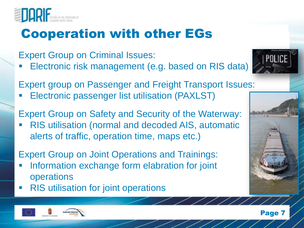

# Cooperation with other EGs

Expert Group on Criminal Issues:

Electronic risk management (e.g. based on RIS data)

Expert group on Passenger and Freight Transport Issues:

- Electronic passenger list utilisation (PAXLST)
- Expert Group on Safety and Security of the Waterway: RIS utilisation (normal and decoded AIS, automatic alerts of traffic, operation time, maps etc.)

#### Expert Group on Joint Operations and Trainings:

- Information exchange form elabration for joint operations
- **RIS** utilisation for joint operations





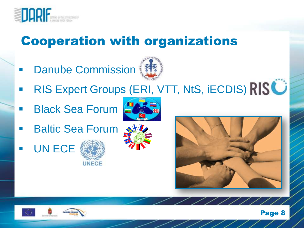

# Cooperation with organizations

**Danube Commission** 



- RIS Expert Groups (ERI, VTT, NtS, iECDIS) RISC
- Black Sea Forum



- Baltic Sea Forum
- UN ECE



**UNECE** 





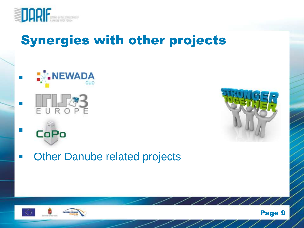

# Synergies with other projects





**• Other Danube related projects**